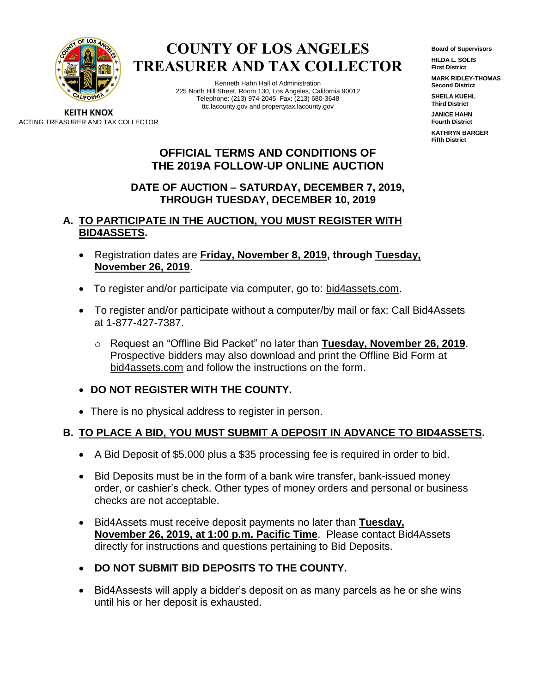

**COUNTY OF LOS ANGELES TREASURER AND TAX COLLECTOR**

> Kenneth Hahn Hall of Administration 225 North Hill Street, Room 130, Los Angeles, California 90012 Telephone: (213) 974-2045 Fax: (213) 680-3648 ttc.lacounty.gov and propertytax.lacounty.gov

**Board of Supervisors**

**HILDA L. SOLIS First District**

**MARK RIDLEY-THOMAS Second District**

**SHEILA KUEHL Third District**

**JANICE HAHN Fourth District**

**KATHRYN BARGER Fifth District**

**KEITH KNOX** ACTING TREASURER AND TAX COLLECTOR

# **OFFICIAL TERMS AND CONDITIONS OF THE 2019A FOLLOW-UP ONLINE AUCTION**

# **DATE OF AUCTION – SATURDAY, DECEMBER 7, 2019, THROUGH TUESDAY, DECEMBER 10, 2019**

# **A. TO PARTICIPATE IN THE AUCTION, YOU MUST REGISTER WITH BID4ASSETS.**

- Registration dates are **Friday, November 8, 2019, through Tuesday, November 26, 2019**.
- To register and/or participate via computer, go to: bid4assets.com.
- To register and/or participate without a computer/by mail or fax: Call Bid4Assets at 1-877-427-7387.
	- o Request an "Offline Bid Packet" no later than **Tuesday, November 26, 2019**. Prospective bidders may also download and print the Offline Bid Form at bid4assets.com and follow the instructions on the form.
- **DO NOT REGISTER WITH THE COUNTY.**
- There is no physical address to register in person.

# **B. TO PLACE A BID, YOU MUST SUBMIT A DEPOSIT IN ADVANCE TO BID4ASSETS.**

- A Bid Deposit of \$5,000 plus a \$35 processing fee is required in order to bid.
- Bid Deposits must be in the form of a bank wire transfer, bank-issued money order, or cashier's check. Other types of money orders and personal or business checks are not acceptable.
- Bid4Assets must receive deposit payments no later than **Tuesday, November 26, 2019, at 1:00 p.m. Pacific Time**. Please contact Bid4Assets directly for instructions and questions pertaining to Bid Deposits.
- **DO NOT SUBMIT BID DEPOSITS TO THE COUNTY.**
- Bid4Assests will apply a bidder's deposit on as many parcels as he or she wins until his or her deposit is exhausted.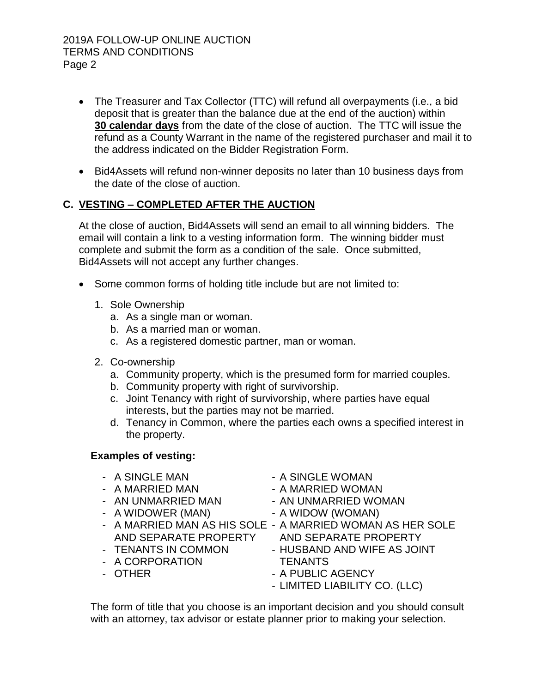#### 2019A FOLLOW-UP ONLINE AUCTION TERMS AND CONDITIONS Page 2

- The Treasurer and Tax Collector (TTC) will refund all overpayments (i.e., a bid deposit that is greater than the balance due at the end of the auction) within **30 calendar days** from the date of the close of auction. The TTC will issue the refund as a County Warrant in the name of the registered purchaser and mail it to the address indicated on the Bidder Registration Form.
- Bid4Assets will refund non-winner deposits no later than 10 business days from the date of the close of auction.

# **C. VESTING – COMPLETED AFTER THE AUCTION**

At the close of auction, Bid4Assets will send an email to all winning bidders. The email will contain a link to a vesting information form. The winning bidder must complete and submit the form as a condition of the sale. Once submitted, Bid4Assets will not accept any further changes.

- Some common forms of holding title include but are not limited to:
	- 1. Sole Ownership
		- a. As a single man or woman.
		- b. As a married man or woman.
		- c. As a registered domestic partner, man or woman.
	- 2. Co-ownership
		- a. Community property, which is the presumed form for married couples.
		- b. Community property with right of survivorship.
		- c. Joint Tenancy with right of survivorship, where parties have equal interests, but the parties may not be married.
		- d. Tenancy in Common, where the parties each owns a specified interest in the property.

#### **Examples of vesting:**

- A SINGLE MAN A SINGLE WOMAN
- 
- 
- A WIDOWER (MAN) A WIDOW (WOMAN)
- 
- 
- A CORPORATION TENANTS
- 
- 
- A MARRIED MAN A MARRIED WOMAN
- AN UNMARRIED MAN AN UNMARRIED WOMAN
	-
- A MARRIED MAN AS HIS SOLE A MARRIED WOMAN AS HER SOLE AND SEPARATE PROPERTY AND SEPARATE PROPERTY
- TENANTS IN COMMON HUSBAND AND WIFE AS JOINT
- OTHER A PUBLIC AGENCY
	- LIMITED LIABILITY CO. (LLC)

The form of title that you choose is an important decision and you should consult with an attorney, tax advisor or estate planner prior to making your selection.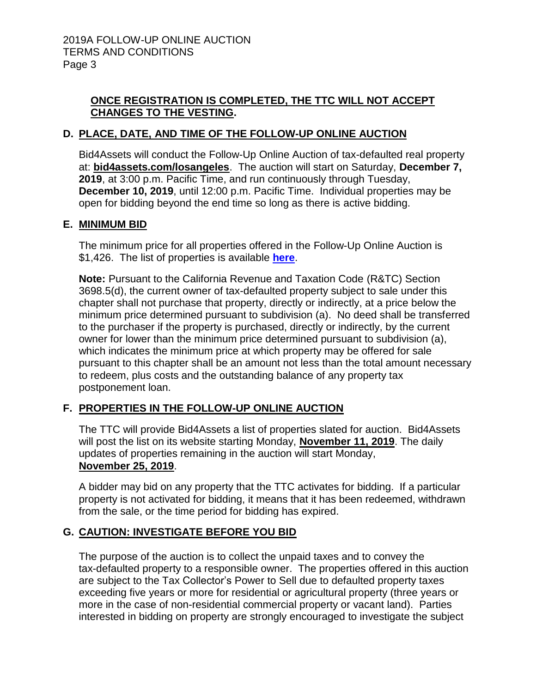# **ONCE REGISTRATION IS COMPLETED, THE TTC WILL NOT ACCEPT CHANGES TO THE VESTING.**

# **D. PLACE, DATE, AND TIME OF THE FOLLOW-UP ONLINE AUCTION**

Bid4Assets will conduct the Follow-Up Online Auction of tax-defaulted real property at: **bid4assets.com/losangeles**. The auction will start on Saturday, **December 7, 2019**, at 3:00 p.m. Pacific Time, and run continuously through Tuesday, **December 10, 2019**, until 12:00 p.m. Pacific Time. Individual properties may be open for bidding beyond the end time so long as there is active bidding.

#### **E. MINIMUM BID**

The minimum price for all properties offered in the Follow-Up Online Auction is \$1,426. The list of properties is available **here**.

**Note:** Pursuant to the California Revenue and Taxation Code (R&TC) Section 3698.5(d), the current owner of tax-defaulted property subject to sale under this chapter shall not purchase that property, directly or indirectly, at a price below the minimum price determined pursuant to subdivision (a). No deed shall be transferred to the purchaser if the property is purchased, directly or indirectly, by the current owner for lower than the minimum price determined pursuant to subdivision (a), which indicates the minimum price at which property may be offered for sale pursuant to this chapter shall be an amount not less than the total amount necessary to redeem, plus costs and the outstanding balance of any property tax postponement loan.

# **F. PROPERTIES IN THE FOLLOW-UP ONLINE AUCTION**

The TTC will provide Bid4Assets a list of properties slated for auction. Bid4Assets will post the list on its website starting Monday, **November 11, 2019**. The daily updates of properties remaining in the auction will start Monday, **November 25, 2019**.

A bidder may bid on any property that the TTC activates for bidding. If a particular property is not activated for bidding, it means that it has been redeemed, withdrawn from the sale, or the time period for bidding has expired.

# **G. CAUTION: INVESTIGATE BEFORE YOU BID**

The purpose of the auction is to collect the unpaid taxes and to convey the tax-defaulted property to a responsible owner. The properties offered in this auction are subject to the Tax Collector's Power to Sell due to defaulted property taxes exceeding five years or more for residential or agricultural property (three years or more in the case of non-residential commercial property or vacant land). Parties interested in bidding on property are strongly encouraged to investigate the subject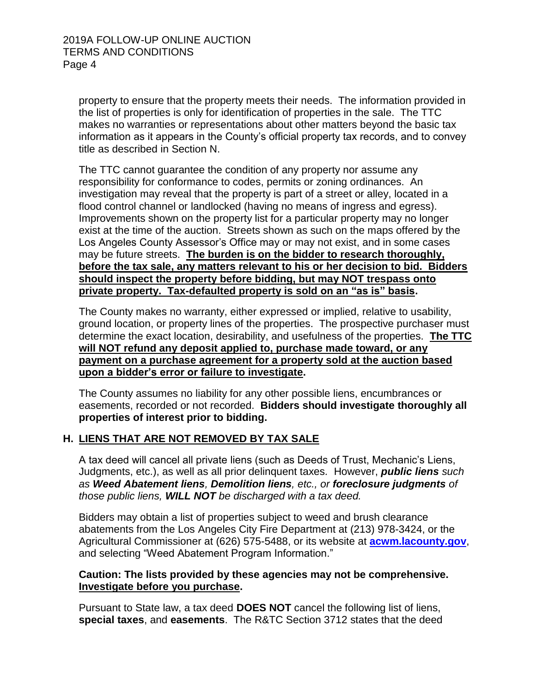property to ensure that the property meets their needs. The information provided in the list of properties is only for identification of properties in the sale. The TTC makes no warranties or representations about other matters beyond the basic tax information as it appears in the County's official property tax records, and to convey title as described in Section N.

The TTC cannot guarantee the condition of any property nor assume any responsibility for conformance to codes, permits or zoning ordinances. An investigation may reveal that the property is part of a street or alley, located in a flood control channel or landlocked (having no means of ingress and egress). Improvements shown on the property list for a particular property may no longer exist at the time of the auction. Streets shown as such on the maps offered by the Los Angeles County Assessor's Office may or may not exist, and in some cases may be future streets. **The burden is on the bidder to research thoroughly, before the tax sale, any matters relevant to his or her decision to bid. Bidders should inspect the property before bidding, but may NOT trespass onto private property. Tax-defaulted property is sold on an "as is" basis.** 

The County makes no warranty, either expressed or implied, relative to usability, ground location, or property lines of the properties. The prospective purchaser must determine the exact location, desirability, and usefulness of the properties. **The TTC will NOT refund any deposit applied to, purchase made toward, or any payment on a purchase agreement for a property sold at the auction based upon a bidder's error or failure to investigate.**

The County assumes no liability for any other possible liens, encumbrances or easements, recorded or not recorded. **Bidders should investigate thoroughly all properties of interest prior to bidding.**

#### **H. LIENS THAT ARE NOT REMOVED BY TAX SALE**

A tax deed will cancel all private liens (such as Deeds of Trust, Mechanic's Liens, Judgments, etc.), as well as all prior delinquent taxes*.* However, *public liens such as Weed Abatement liens, Demolition liens, etc., or foreclosure judgments of those public liens, WILL NOT be discharged with a tax deed.*

Bidders may obtain a list of properties subject to weed and brush clearance abatements from the Los Angeles City Fire Department at (213) 978-3424, or the Agricultural Commissioner at (626) 575-5488, or its website at **[acwm.lacounty.gov](http://acwm.lacounty.gov/)**, and selecting "Weed Abatement Program Information."

#### **Caution: The lists provided by these agencies may not be comprehensive. Investigate before you purchase.**

Pursuant to State law, a tax deed **DOES NOT** cancel the following list of liens, **special taxes**, and **easements**. The R&TC Section 3712 states that the deed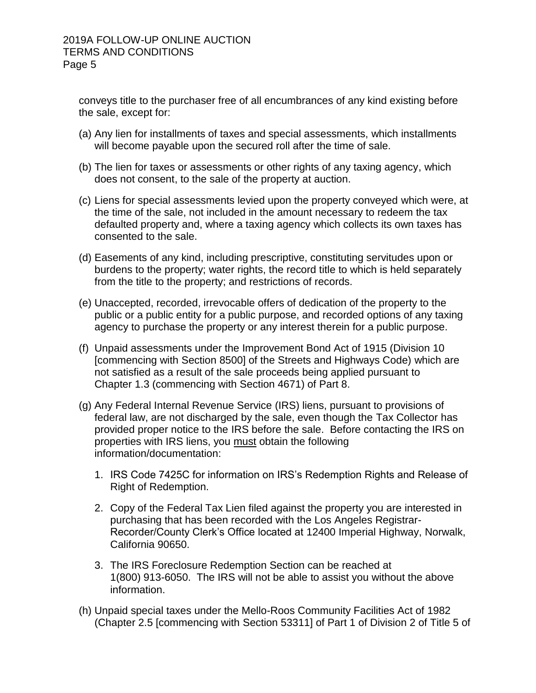conveys title to the purchaser free of all encumbrances of any kind existing before the sale, except for:

- (a) Any lien for installments of taxes and special assessments, which installments will become payable upon the secured roll after the time of sale.
- (b) The lien for taxes or assessments or other rights of any taxing agency, which does not consent, to the sale of the property at auction.
- (c) Liens for special assessments levied upon the property conveyed which were, at the time of the sale, not included in the amount necessary to redeem the tax defaulted property and, where a taxing agency which collects its own taxes has consented to the sale.
- (d) Easements of any kind, including prescriptive, constituting servitudes upon or burdens to the property; water rights, the record title to which is held separately from the title to the property; and restrictions of records.
- (e) Unaccepted, recorded, irrevocable offers of dedication of the property to the public or a public entity for a public purpose, and recorded options of any taxing agency to purchase the property or any interest therein for a public purpose.
- (f) Unpaid assessments under the Improvement Bond Act of 1915 (Division 10 [commencing with Section 8500] of the Streets and Highways Code) which are not satisfied as a result of the sale proceeds being applied pursuant to Chapter 1.3 (commencing with Section 4671) of Part 8.
- (g) Any Federal Internal Revenue Service (IRS) liens, pursuant to provisions of federal law, are not discharged by the sale, even though the Tax Collector has provided proper notice to the IRS before the sale. Before contacting the IRS on properties with IRS liens, you must obtain the following information/documentation:
	- 1. IRS Code 7425C for information on IRS's Redemption Rights and Release of Right of Redemption.
	- 2. Copy of the Federal Tax Lien filed against the property you are interested in purchasing that has been recorded with the Los Angeles Registrar-Recorder/County Clerk's Office located at 12400 Imperial Highway, Norwalk, California 90650.
	- 3. The IRS Foreclosure Redemption Section can be reached at 1(800) 913-6050. The IRS will not be able to assist you without the above information.
- (h) Unpaid special taxes under the Mello-Roos Community Facilities Act of 1982 (Chapter 2.5 [commencing with Section 53311] of Part 1 of Division 2 of Title 5 of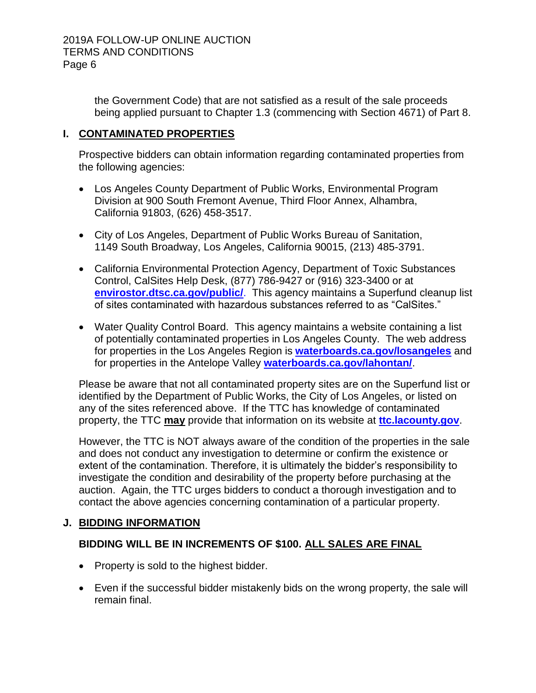the Government Code) that are not satisfied as a result of the sale proceeds being applied pursuant to Chapter 1.3 (commencing with Section 4671) of Part 8.

# **I. CONTAMINATED PROPERTIES**

Prospective bidders can obtain information regarding contaminated properties from the following agencies:

- Los Angeles County Department of Public Works, Environmental Program Division at 900 South Fremont Avenue, Third Floor Annex, Alhambra, California 91803, (626) 458-3517.
- City of Los Angeles, Department of Public Works Bureau of Sanitation, 1149 South Broadway, Los Angeles, California 90015, (213) 485-3791.
- California Environmental Protection Agency, Department of Toxic Substances Control, CalSites Help Desk, (877) 786-9427 or (916) 323-3400 or at **[envirostor.dtsc.ca.gov/public/](http://www.envirostor.dtsc.ca.gov/public/).** This agency maintains a Superfund cleanup list of sites contaminated with hazardous substances referred to as "CalSites."
- Water Quality Control Board. This agency maintains a website containing a list of potentially contaminated properties in Los Angeles County. The web address for properties in the Los Angeles Region is **[waterboards.ca.gov/losangeles](http://www.waterboards.ca.gov/losangeles)** and for properties in the Antelope Valley **[waterboards.ca.gov/lahontan/](http://www.waterboards.ca.gov/lahontan/)**.

Please be aware that not all contaminated property sites are on the Superfund list or identified by the Department of Public Works, the City of Los Angeles, or listed on any of the sites referenced above. If the TTC has knowledge of contaminated property, the TTC **may** provide that information on its website at **[ttc.lacounty.gov](http://ttc.lacounty.gov/)**.

However, the TTC is NOT always aware of the condition of the properties in the sale and does not conduct any investigation to determine or confirm the existence or extent of the contamination. Therefore, it is ultimately the bidder's responsibility to investigate the condition and desirability of the property before purchasing at the auction. Again, the TTC urges bidders to conduct a thorough investigation and to contact the above agencies concerning contamination of a particular property.

# **J. BIDDING INFORMATION**

# **BIDDING WILL BE IN INCREMENTS OF \$100. ALL SALES ARE FINAL**

- Property is sold to the highest bidder.
- Even if the successful bidder mistakenly bids on the wrong property, the sale will remain final.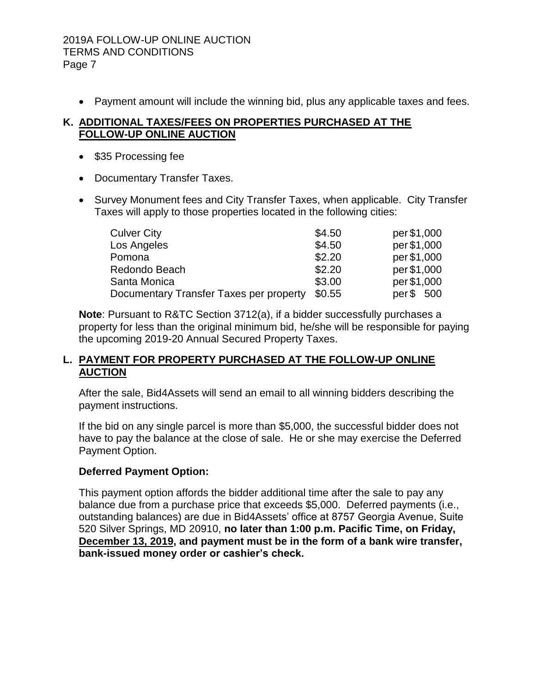#### 2019A FOLLOW-UP ONLINE AUCTION TERMS AND CONDITIONS Page 7

Payment amount will include the winning bid, plus any applicable taxes and fees.

### **K. ADDITIONAL TAXES/FEES ON PROPERTIES PURCHASED AT THE FOLLOW-UP ONLINE AUCTION**

- \$35 Processing fee
- Documentary Transfer Taxes.
- Survey Monument fees and City Transfer Taxes, when applicable. City Transfer Taxes will apply to those properties located in the following cities:

| <b>Culver City</b>                      | \$4.50 | per \$1,000  |
|-----------------------------------------|--------|--------------|
| Los Angeles                             | \$4.50 | per \$1,000  |
| Pomona                                  | \$2.20 | per \$1,000  |
| Redondo Beach                           | \$2.20 | per \$1,000  |
| Santa Monica                            | \$3.00 | per \$1,000  |
| Documentary Transfer Taxes per property | \$0.55 | per\$<br>500 |

**Note**: Pursuant to R&TC Section 3712(a), if a bidder successfully purchases a property for less than the original minimum bid, he/she will be responsible for paying the upcoming 2019-20 Annual Secured Property Taxes.

### **L. PAYMENT FOR PROPERTY PURCHASED AT THE FOLLOW-UP ONLINE AUCTION**

After the sale, Bid4Assets will send an email to all winning bidders describing the payment instructions.

If the bid on any single parcel is more than \$5,000, the successful bidder does not have to pay the balance at the close of sale. He or she may exercise the Deferred Payment Option.

# **Deferred Payment Option:**

This payment option affords the bidder additional time after the sale to pay any balance due from a purchase price that exceeds \$5,000. Deferred payments (i.e., outstanding balances) are due in Bid4Assets' office at 8757 Georgia Avenue, Suite 520 Silver Springs, MD 20910, **no later than 1:00 p.m. Pacific Time, on Friday, December 13, 2019, and payment must be in the form of a bank wire transfer, bank-issued money order or cashier's check.**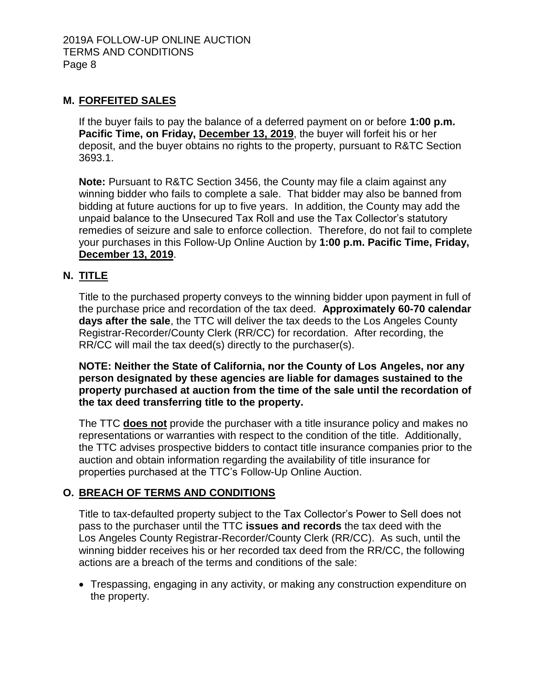### **M. FORFEITED SALES**

If the buyer fails to pay the balance of a deferred payment on or before **1:00 p.m. Pacific Time, on Friday, December 13, 2019**, the buyer will forfeit his or her deposit, and the buyer obtains no rights to the property, pursuant to R&TC Section 3693.1.

**Note:** Pursuant to R&TC Section 3456, the County may file a claim against any winning bidder who fails to complete a sale. That bidder may also be banned from bidding at future auctions for up to five years. In addition, the County may add the unpaid balance to the Unsecured Tax Roll and use the Tax Collector's statutory remedies of seizure and sale to enforce collection. Therefore, do not fail to complete your purchases in this Follow-Up Online Auction by **1:00 p.m. Pacific Time, Friday, December 13, 2019**.

### **N. TITLE**

Title to the purchased property conveys to the winning bidder upon payment in full of the purchase price and recordation of the tax deed. **Approximately 60-70 calendar days after the sale**, the TTC will deliver the tax deeds to the Los Angeles County Registrar-Recorder/County Clerk (RR/CC) for recordation. After recording, the RR/CC will mail the tax deed(s) directly to the purchaser(s).

**NOTE: Neither the State of California, nor the County of Los Angeles, nor any person designated by these agencies are liable for damages sustained to the property purchased at auction from the time of the sale until the recordation of the tax deed transferring title to the property.**

The TTC **does not** provide the purchaser with a title insurance policy and makes no representations or warranties with respect to the condition of the title. Additionally, the TTC advises prospective bidders to contact title insurance companies prior to the auction and obtain information regarding the availability of title insurance for properties purchased at the TTC's Follow-Up Online Auction.

# **O. BREACH OF TERMS AND CONDITIONS**

Title to tax-defaulted property subject to the Tax Collector's Power to Sell does not pass to the purchaser until the TTC **issues and records** the tax deed with the Los Angeles County Registrar-Recorder/County Clerk (RR/CC). As such, until the winning bidder receives his or her recorded tax deed from the RR/CC, the following actions are a breach of the terms and conditions of the sale:

 Trespassing, engaging in any activity, or making any construction expenditure on the property.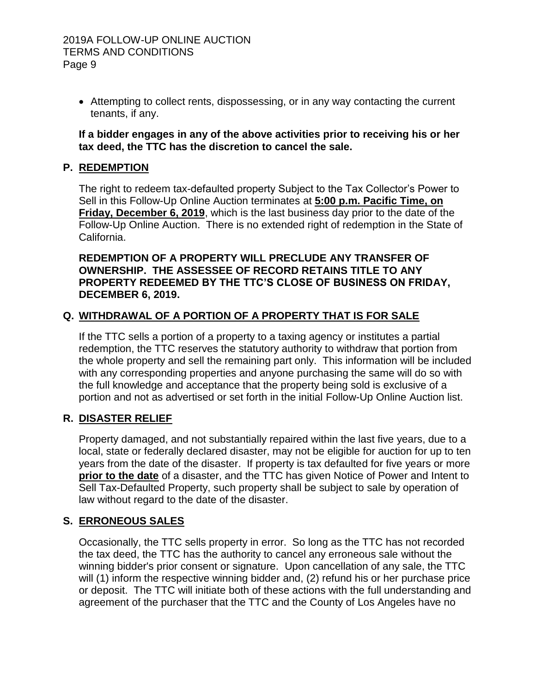Attempting to collect rents, dispossessing, or in any way contacting the current tenants, if any.

#### **If a bidder engages in any of the above activities prior to receiving his or her tax deed, the TTC has the discretion to cancel the sale.**

# **P. REDEMPTION**

The right to redeem tax-defaulted property Subject to the Tax Collector's Power to Sell in this Follow-Up Online Auction terminates at **5:00 p.m. Pacific Time, on Friday, December 6, 2019**, which is the last business day prior to the date of the Follow-Up Online Auction. There is no extended right of redemption in the State of California.

#### **REDEMPTION OF A PROPERTY WILL PRECLUDE ANY TRANSFER OF OWNERSHIP. THE ASSESSEE OF RECORD RETAINS TITLE TO ANY PROPERTY REDEEMED BY THE TTC'S CLOSE OF BUSINESS ON FRIDAY, DECEMBER 6, 2019.**

# **Q. WITHDRAWAL OF A PORTION OF A PROPERTY THAT IS FOR SALE**

If the TTC sells a portion of a property to a taxing agency or institutes a partial redemption, the TTC reserves the statutory authority to withdraw that portion from the whole property and sell the remaining part only. This information will be included with any corresponding properties and anyone purchasing the same will do so with the full knowledge and acceptance that the property being sold is exclusive of a portion and not as advertised or set forth in the initial Follow-Up Online Auction list.

# **R. DISASTER RELIEF**

Property damaged, and not substantially repaired within the last five years, due to a local, state or federally declared disaster, may not be eligible for auction for up to ten years from the date of the disaster. If property is tax defaulted for five years or more **prior to the date** of a disaster, and the TTC has given Notice of Power and Intent to Sell Tax-Defaulted Property, such property shall be subject to sale by operation of law without regard to the date of the disaster.

# **S. ERRONEOUS SALES**

Occasionally, the TTC sells property in error. So long as the TTC has not recorded the tax deed, the TTC has the authority to cancel any erroneous sale without the winning bidder's prior consent or signature. Upon cancellation of any sale, the TTC will (1) inform the respective winning bidder and, (2) refund his or her purchase price or deposit. The TTC will initiate both of these actions with the full understanding and agreement of the purchaser that the TTC and the County of Los Angeles have no